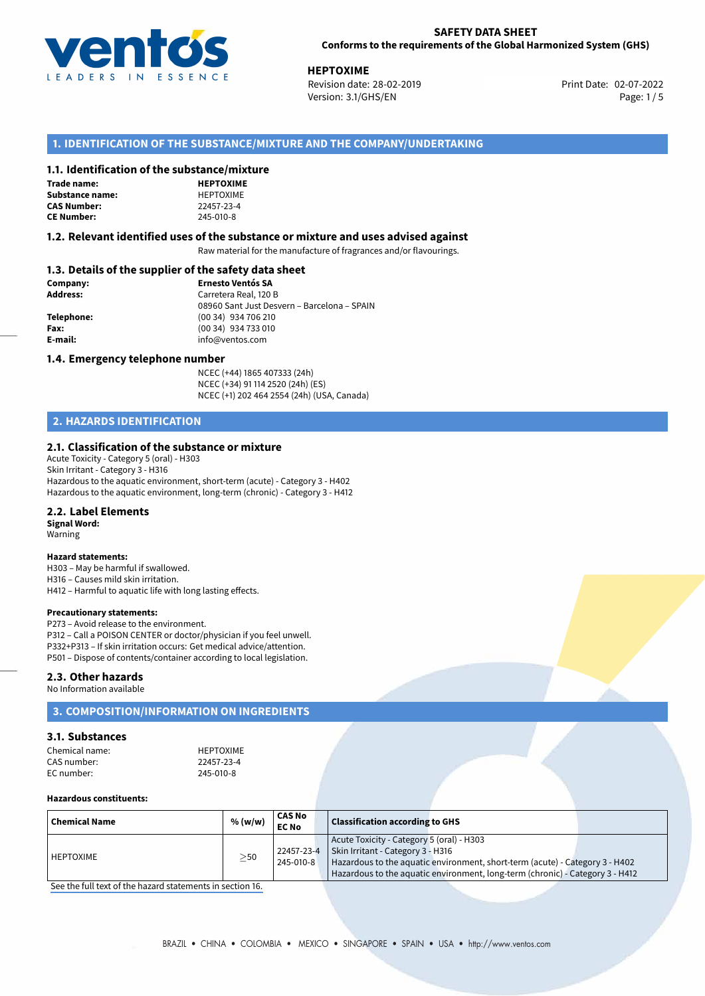

02-07-2022 **HEPTOXIME** Revision date: 28-02-2019 Print Date: Version: 3.1/GHS/EN Page: 1 / 5

# **1. IDENTIFICATION OF THE SUBSTANCE/MIXTURE AND THE COMPANY/UNDERTAKING**

## **1.1. Identification of the substance/mixture**

# **Trade name:**

Substance name: **CAS Number:** 

| <b>HEPTOXIME</b> |
|------------------|
| HEPTOXIME        |
| 22457-23-4       |
| 245-010-8        |

## **1.2. Relevant identified uses of the substance or mixture and uses advised against**

Raw material for the manufacture of fragrances and/or flavourings.

# **1.3. Details of the supplier of the safety data sheet**

| Company:        | <b>Ernesto Ventós SA</b>                    |  |  |  |
|-----------------|---------------------------------------------|--|--|--|
| <b>Address:</b> | Carretera Real, 120 B                       |  |  |  |
|                 | 08960 Sant Just Desvern - Barcelona - SPAIN |  |  |  |
| Telephone:      | (00 34) 934 706 210                         |  |  |  |
| Fax:            | (00 34) 934 733 010                         |  |  |  |
| E-mail:         | info@ventos.com                             |  |  |  |
|                 |                                             |  |  |  |

#### **1.4. Emergency telephone number**

NCEC (+44) 1865 407333 (24h) NCEC (+34) 91 114 2520 (24h) (ES) NCEC (+1) 202 464 2554 (24h) (USA, Canada)

# **2. HAZARDS IDENTIFICATION**

## **2.1. Classification of the substance or mixture**

Acute Toxicity - Category 5 (oral) - H303 Skin Irritant - Category 3 - H316 Hazardous to the aquatic environment, short-term (acute) - Category 3 - H402 Hazardous to the aquatic environment, long-term (chronic) - Category 3 - H412

## **2.2. Label Elements**

**Signal Word:** Warning

**CE Number:** 245-010-8

### **Hazard statements:**

H303 – May be harmful if swallowed. H316 – Causes mild skin irritation. H412 – Harmful to aquatic life with long lasting effects.

#### **Precautionary statements:**

P273 – Avoid release to the environment. P312 – Call a POISON CENTER or doctor/physician if you feel unwell. P332+P313 – If skin irritation occurs: Get medical advice/attention. P501 – Dispose of contents/container according to local legislation.

## **2.3. Other hazards**

No Information available

## **3. COMPOSITION/INFORMATION ON INGREDIENTS**

## **3.1. Substances**

| Chemical name: | <b>HEPTOXIME</b> |
|----------------|------------------|
| CAS number:    | 22457-23-4       |
| EC number:     | 245-010-8        |

#### **Hazardous constituents:**

| <b>Chemical Name</b> | % (w/w) | CAS No<br><b>EC No</b> | <b>Classification according to GHS</b>                                                                                                                                                                                                                       |
|----------------------|---------|------------------------|--------------------------------------------------------------------------------------------------------------------------------------------------------------------------------------------------------------------------------------------------------------|
| l HEPTOXIME          | $>$ 50  | 245-010-8              | Acute Toxicity - Category 5 (oral) - H303<br>22457-23-4   Skin Irritant - Category 3 - H316<br>Hazardous to the aquatic environment, short-term (acute) - Category 3 - H402<br>Hazardous to the aquatic environment, long-term (chronic) - Category 3 - H412 |

[See the full text of the hazard statements in section 16.](#page--1-0)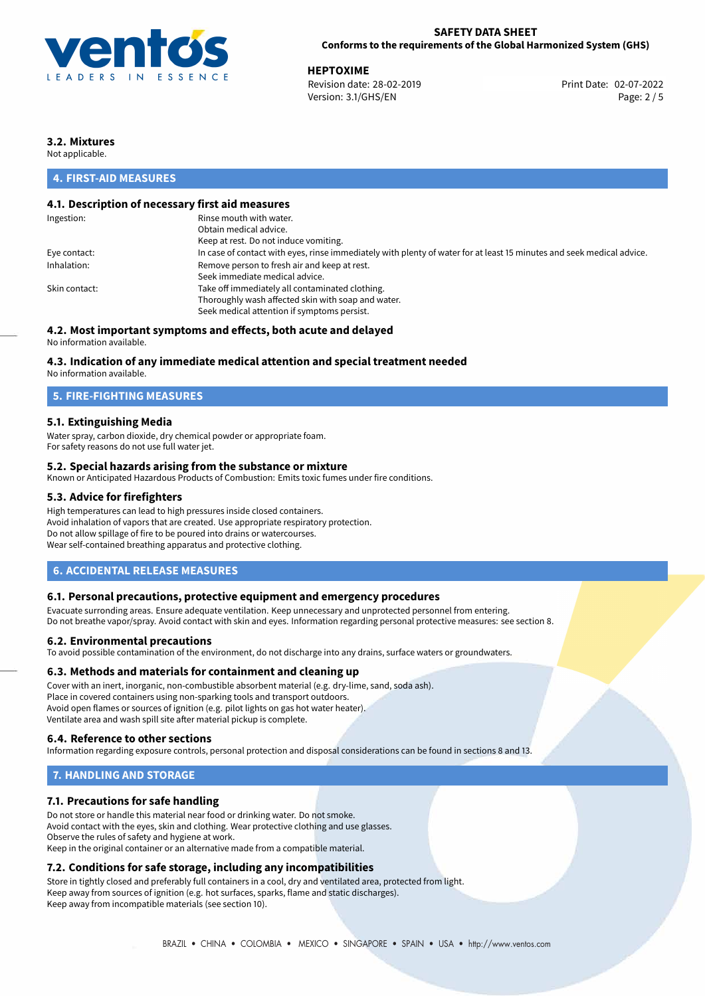

**HEPTOXIME**<br>Revision date: 28-02-2019 **Accord Print Date: 02-07-2022** Revision date: 28-02-2019 Version: 3.1/GHS/EN Page: 2 / 5

# **3.2. Mixtures**

Not applicable.

# **4. FIRST-AID MEASURES**

# **4.1. Description of necessary first aid measures**

| Ingestion:    | Rinse mouth with water.                                                                                               |
|---------------|-----------------------------------------------------------------------------------------------------------------------|
|               | Obtain medical advice.                                                                                                |
|               | Keep at rest. Do not induce vomiting.                                                                                 |
| Eye contact:  | In case of contact with eyes, rinse immediately with plenty of water for at least 15 minutes and seek medical advice. |
| Inhalation:   | Remove person to fresh air and keep at rest.                                                                          |
|               | Seek immediate medical advice.                                                                                        |
| Skin contact: | Take off immediately all contaminated clothing.                                                                       |
|               | Thoroughly wash affected skin with soap and water.                                                                    |
|               | Seek medical attention if symptoms persist.                                                                           |
|               |                                                                                                                       |

# **4.2. Most important symptoms and effects, both acute and delayed**

No information available.

## **4.3. Indication of any immediate medical attention and special treatment needed**

No information available.

## **5. FIRE-FIGHTING MEASURES**

# **5.1. Extinguishing Media**

Water spray, carbon dioxide, dry chemical powder or appropriate foam. For safety reasons do not use full water jet.

## **5.2. Special hazards arising from the substance or mixture**

Known or Anticipated Hazardous Products of Combustion: Emits toxic fumes under fire conditions.

## **5.3. Advice for firefighters**

High temperatures can lead to high pressures inside closed containers. Avoid inhalation of vapors that are created. Use appropriate respiratory protection. Do not allow spillage of fire to be poured into drains or watercourses. Wear self-contained breathing apparatus and protective clothing.

# **6. ACCIDENTAL RELEASE MEASURES**

## **6.1. Personal precautions, protective equipment and emergency procedures**

Evacuate surronding areas. Ensure adequate ventilation. Keep unnecessary and unprotected personnel from entering. Do not breathe vapor/spray. Avoid contact with skin and eyes. Information regarding personal protective measures: see section 8.

## **6.2. Environmental precautions**

To avoid possible contamination of the environment, do not discharge into any drains, surface waters or groundwaters.

## **6.3. Methods and materials for containment and cleaning up**

Cover with an inert, inorganic, non-combustible absorbent material (e.g. dry-lime, sand, soda ash). Place in covered containers using non-sparking tools and transport outdoors. Avoid open flames or sources of ignition (e.g. pilot lights on gas hot water heater). Ventilate area and wash spill site after material pickup is complete.

## **6.4. Reference to other sections**

Information regarding exposure controls, personal protection and disposal considerations can be found in sections 8 and 13.

# **7. HANDLING AND STORAGE**

# **7.1. Precautions for safe handling**

Do not store or handle this material near food or drinking water. Do not smoke. Avoid contact with the eyes, skin and clothing. Wear protective clothing and use glasses. Observe the rules of safety and hygiene at work. Keep in the original container or an alternative made from a compatible material.

# **7.2. Conditions for safe storage, including any incompatibilities**

Store in tightly closed and preferably full containers in a cool, dry and ventilated area, protected from light. Keep away from sources of ignition (e.g. hot surfaces, sparks, flame and static discharges). Keep away from incompatible materials (see section 10).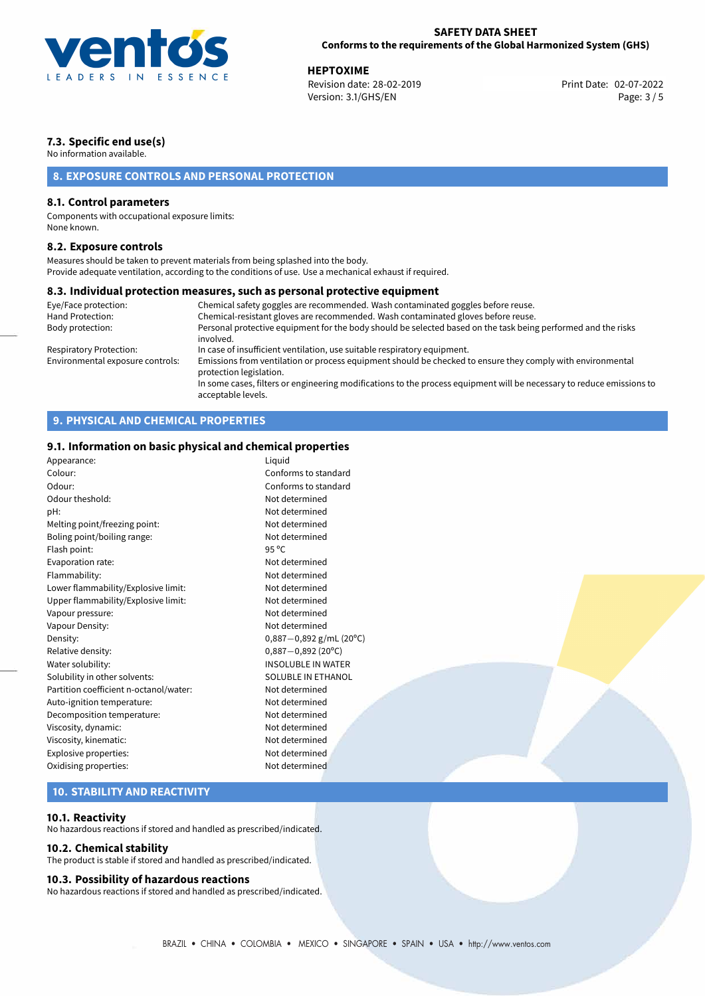

**HEPTOXIME**<br>
Revision date: 28-02-2019 **Print Date: 02-07-2022** Version: 3.1/GHS/EN Page: 3 / 5

# **7.3. Specific end use(s)**

No information available.

# **8. EXPOSURE CONTROLS AND PERSONAL PROTECTION**

## **8.1. Control parameters**

Components with occupational exposure limits: None known.

## **8.2. Exposure controls**

Measures should be taken to prevent materials from being splashed into the body. Provide adequate ventilation, according to the conditions of use. Use a mechanical exhaust if required.

## **8.3. Individual protection measures, such as personal protective equipment**

| Eye/Face protection:             | Chemical safety goggles are recommended. Wash contaminated goggles before reuse.                                                            |
|----------------------------------|---------------------------------------------------------------------------------------------------------------------------------------------|
| Hand Protection:                 | Chemical-resistant gloves are recommended. Wash contaminated gloves before reuse.                                                           |
| Body protection:                 | Personal protective equipment for the body should be selected based on the task being performed and the risks<br>involved.                  |
| Respiratory Protection:          | In case of insufficient ventilation, use suitable respiratory equipment.                                                                    |
| Environmental exposure controls: | Emissions from ventilation or process equipment should be checked to ensure they comply with environmental<br>protection legislation.       |
|                                  | In some cases, filters or engineering modifications to the process equipment will be necessary to reduce emissions to<br>acceptable levels. |

# **9. PHYSICAL AND CHEMICAL PROPERTIES**

# **9.1. Information on basic physical and chemical properties**

| Appearance:                            | Liquid                    |
|----------------------------------------|---------------------------|
| Colour:                                | Conforms to standard      |
| Odour:                                 | Conforms to standard      |
| Odour theshold:                        | Not determined            |
| pH:                                    | Not determined            |
| Melting point/freezing point:          | Not determined            |
| Boling point/boiling range:            | Not determined            |
| Flash point:                           | 95 °C                     |
| Evaporation rate:                      | Not determined            |
| Flammability:                          | Not determined            |
| Lower flammability/Explosive limit:    | Not determined            |
| Upper flammability/Explosive limit:    | Not determined            |
| Vapour pressure:                       | Not determined            |
| Vapour Density:                        | Not determined            |
| Density:                               | $0,887-0,892$ g/mL (20°C) |
| Relative density:                      | $0,887 - 0,892$ (20°C)    |
| Water solubility:                      | <b>INSOLUBLE IN WATER</b> |
| Solubility in other solvents:          | <b>SOLUBLE IN ETHANOL</b> |
| Partition coefficient n-octanol/water: | Not determined            |
| Auto-ignition temperature:             | Not determined            |
| Decomposition temperature:             | Not determined            |
| Viscosity, dynamic:                    | Not determined            |
| Viscosity, kinematic:                  | Not determined            |
| Explosive properties:                  | Not determined            |
| Oxidising properties:                  | Not determined            |
|                                        |                           |

# **10. STABILITY AND REACTIVITY**

## **10.1. Reactivity**

No hazardous reactions if stored and handled as prescribed/indicated.

## **10.2. Chemical stability**

The product is stable if stored and handled as prescribed/indicated.

### **10.3. Possibility of hazardous reactions**

No hazardous reactions if stored and handled as prescribed/indicated.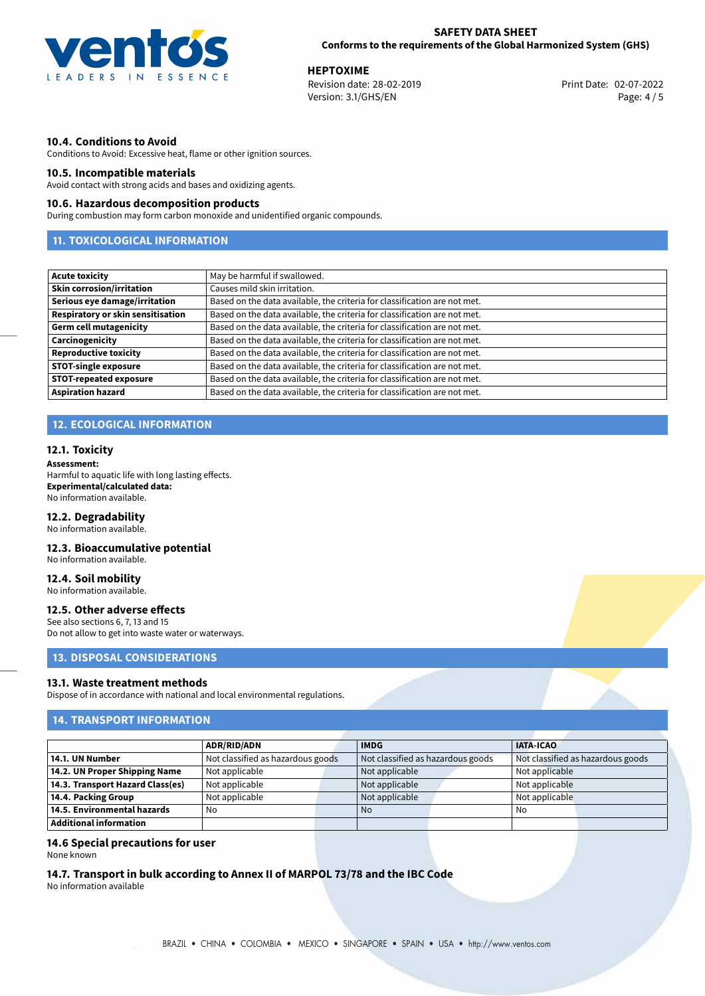

**HEPTOXIME**<br>
Revision date: 28-02-2019 **Print Date: 02-07-2022** Version: 3.1/GHS/EN Page: 4 / 5

## **10.4. Conditions to Avoid**

Conditions to Avoid: Excessive heat, flame or other ignition sources.

## **10.5. Incompatible materials**

Avoid contact with strong acids and bases and oxidizing agents.

## **10.6. Hazardous decomposition products**

During combustion may form carbon monoxide and unidentified organic compounds.

# **11. TOXICOLOGICAL INFORMATION**

| <b>Acute toxicity</b>             | May be harmful if swallowed.                                              |
|-----------------------------------|---------------------------------------------------------------------------|
| <b>Skin corrosion/irritation</b>  | Causes mild skin irritation.                                              |
| Serious eye damage/irritation     | Based on the data available, the criteria for classification are not met. |
| Respiratory or skin sensitisation | Based on the data available, the criteria for classification are not met. |
| <b>Germ cell mutagenicity</b>     | Based on the data available, the criteria for classification are not met. |
| Carcinogenicity                   | Based on the data available, the criteria for classification are not met. |
| <b>Reproductive toxicity</b>      | Based on the data available, the criteria for classification are not met. |
| <b>STOT-single exposure</b>       | Based on the data available, the criteria for classification are not met. |
| <b>STOT-repeated exposure</b>     | Based on the data available, the criteria for classification are not met. |
| <b>Aspiration hazard</b>          | Based on the data available, the criteria for classification are not met. |

# **12. ECOLOGICAL INFORMATION**

## **12.1. Toxicity**

#### **Assessment:**

Harmful to aquatic life with long lasting effects. **Experimental/calculated data:** No information available.

#### **12.2. Degradability**

No information available.

## **12.3. Bioaccumulative potential**

No information available.

# **12.4. Soil mobility**

No information available.

### **12.5. Other adverse effects**

See also sections 6, 7, 13 and 15 Do not allow to get into waste water or waterways.

## **13. DISPOSAL CONSIDERATIONS**

#### **13.1. Waste treatment methods**

Dispose of in accordance with national and local environmental regulations.

# **14. TRANSPORT INFORMATION**

|                                  | <b>ADR/RID/ADN</b>                |  | <b>IMDG</b>                       |  | <b>IATA-ICAO</b>                  |  |
|----------------------------------|-----------------------------------|--|-----------------------------------|--|-----------------------------------|--|
| 14.1. UN Number                  | Not classified as hazardous goods |  | Not classified as hazardous goods |  | Not classified as hazardous goods |  |
| 14.2. UN Proper Shipping Name    | Not applicable                    |  | Not applicable                    |  | Not applicable                    |  |
| 14.3. Transport Hazard Class(es) | Not applicable                    |  | Not applicable                    |  | Not applicable                    |  |
| 14.4. Packing Group              | Not applicable                    |  | Not applicable                    |  | Not applicable                    |  |
| 14.5. Environmental hazards      | No                                |  | <b>No</b>                         |  | No                                |  |
| Additional information           |                                   |  |                                   |  |                                   |  |

## **14.6 Special precautions for user**

None known

## **14.7. Transport in bulk according to Annex II of MARPOL 73/78 and the IBC Code**

No information available